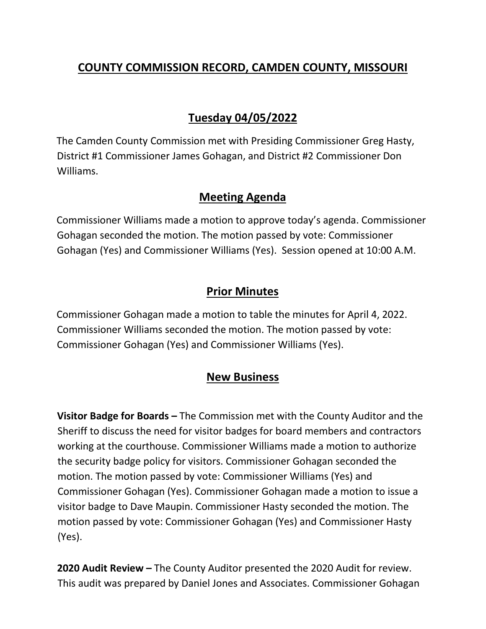# **COUNTY COMMISSION RECORD, CAMDEN COUNTY, MISSOURI**

# **Tuesday 04/05/2022**

The Camden County Commission met with Presiding Commissioner Greg Hasty, District #1 Commissioner James Gohagan, and District #2 Commissioner Don Williams.

#### **Meeting Agenda**

Commissioner Williams made a motion to approve today's agenda. Commissioner Gohagan seconded the motion. The motion passed by vote: Commissioner Gohagan (Yes) and Commissioner Williams (Yes). Session opened at 10:00 A.M.

### **Prior Minutes**

Commissioner Gohagan made a motion to table the minutes for April 4, 2022. Commissioner Williams seconded the motion. The motion passed by vote: Commissioner Gohagan (Yes) and Commissioner Williams (Yes).

### **New Business**

**Visitor Badge for Boards –** The Commission met with the County Auditor and the Sheriff to discuss the need for visitor badges for board members and contractors working at the courthouse. Commissioner Williams made a motion to authorize the security badge policy for visitors. Commissioner Gohagan seconded the motion. The motion passed by vote: Commissioner Williams (Yes) and Commissioner Gohagan (Yes). Commissioner Gohagan made a motion to issue a visitor badge to Dave Maupin. Commissioner Hasty seconded the motion. The motion passed by vote: Commissioner Gohagan (Yes) and Commissioner Hasty (Yes).

**2020 Audit Review –** The County Auditor presented the 2020 Audit for review. This audit was prepared by Daniel Jones and Associates. Commissioner Gohagan